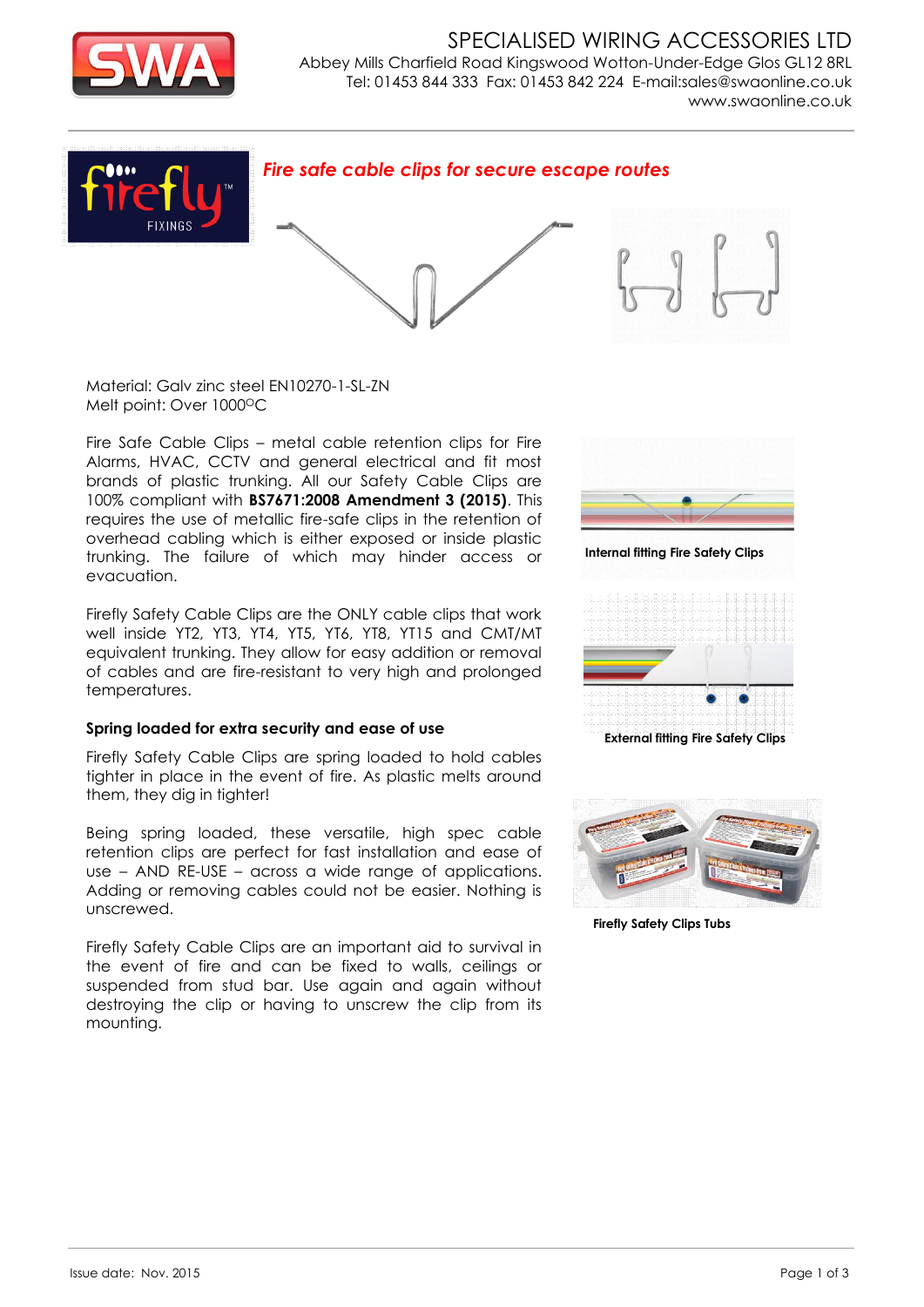

SPECIALISED WIRING ACCESSORIES LTD Abbey Mills Charfield Road Kingswood Wotton-Under-Edge Glos GL12 8RL Tel: 01453 844 333 Fax: 01453 842 224 E-mail:sales@swaonline.co.uk [www.swaonline.co.uk](http://www.swaonlione.co.uk/)



Material: Galv zinc steel EN10270-1-SL-ZN Melt point: Over 1000°C

Fire Safe Cable Clips – metal cable retention clips for Fire Alarms, HVAC, CCTV and general electrical and fit most brands of plastic trunking. All our Safety Cable Clips are 100% compliant with **BS7671:2008 Amendment 3 (2015)**. This requires the use of metallic fire-safe clips in the retention of overhead cabling which is either exposed or inside plastic trunking. The failure of which may hinder access or evacuation.

Firefly Safety Cable Clips are the ONLY cable clips that work well inside YT2, YT3, YT4, YT5, YT6, YT8, YT15 and CMT/MT equivalent trunking. They allow for easy addition or removal of cables and are fire-resistant to very high and prolonged temperatures.

#### **Spring loaded for extra security and ease of use**

Firefly Safety Cable Clips are spring loaded to hold cables tighter in place in the event of fire. As plastic melts around them, they dig in tighter!

Being spring loaded, these versatile, high spec cable retention clips are perfect for fast installation and ease of use – AND RE-USE – across a wide range of applications. Adding or removing cables could not be easier. Nothing is unscrewed.

Firefly Safety Cable Clips are an important aid to survival in the event of fire and can be fixed to walls, ceilings or suspended from stud bar. Use again and again without destroying the clip or having to unscrew the clip from its mounting.



**Internal fitting Fire Safety Clips** 



**External fitting Fire Safety Clips** 



**Firefly Safety Clips Tubs**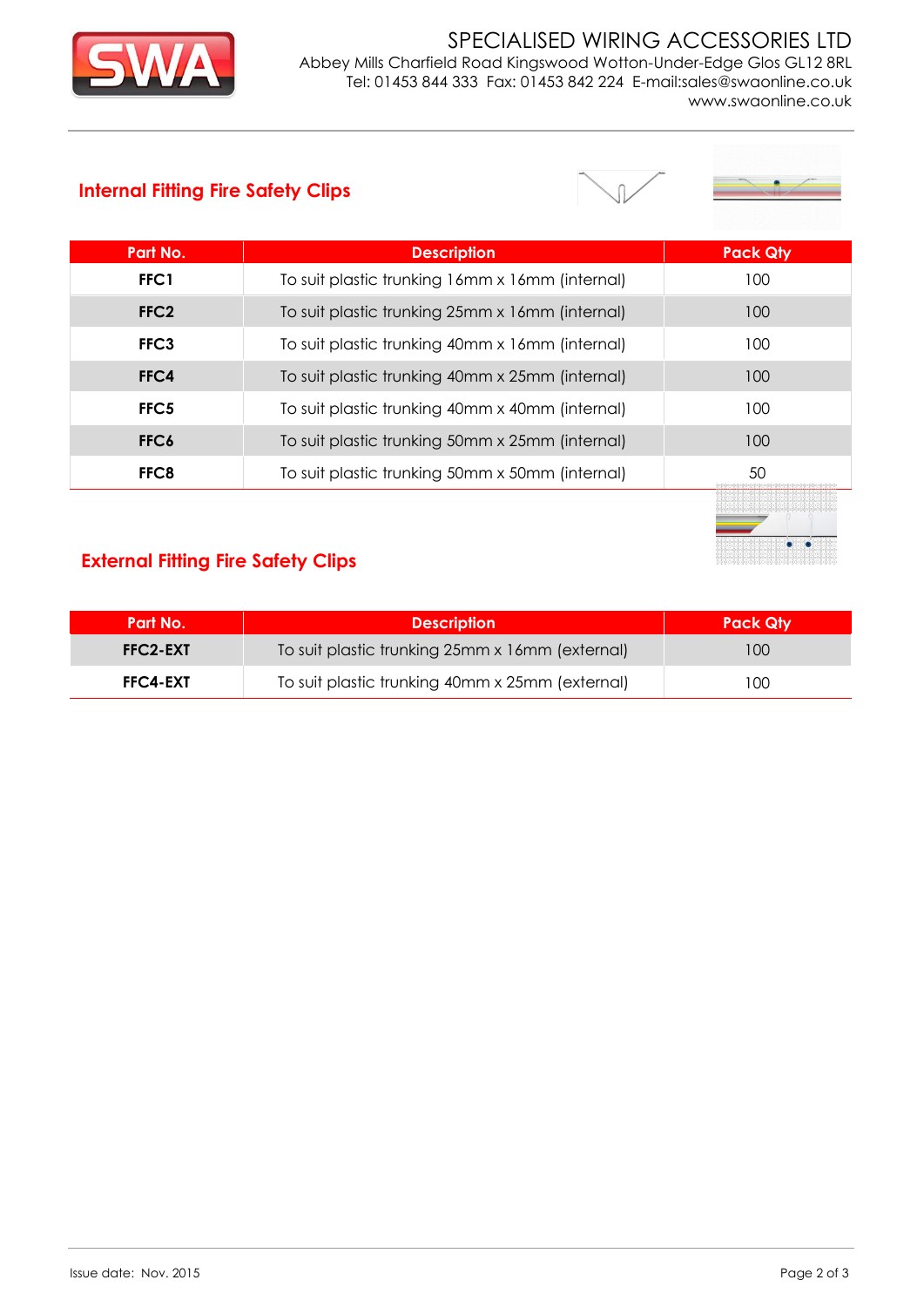

#### SPECIALISED WIRING ACCESSORIES LTD Abbey Mills Charfield Road Kingswood Wotton-Under-Edge Glos GL12 8RL Tel: 01453 844 333 Fax: 01453 842 224 E-mail:sales@swaonline.co.uk [www.swaonline.co.uk](http://www.swaonlione.co.uk/)

### **Internal Fitting Fire Safety Clips**



| Part No.         | <b>Description</b>                              | <b>Pack Qty</b> |
|------------------|-------------------------------------------------|-----------------|
| FFC1             | To suit plastic trunking 16mm x 16mm (internal) | 100             |
| FFC <sub>2</sub> | To suit plastic trunking 25mm x 16mm (internal) | 100             |
| FFC3             | To suit plastic trunking 40mm x 16mm (internal) | 100             |
| FFC4             | To suit plastic trunking 40mm x 25mm (internal) | 100             |
| FFC <sub>5</sub> | To suit plastic trunking 40mm x 40mm (internal) | 100             |
| FFC6             | To suit plastic trunking 50mm x 25mm (internal) | 100             |
| FFC8             | To suit plastic trunking 50mm x 50mm (internal) | 50              |
|                  |                                                 |                 |



## **External Fitting Fire Safety Clips**

| Part No.        | <b>Description</b>                              | <b>Pack Qtv</b> |
|-----------------|-------------------------------------------------|-----------------|
| FFC2-EXT        | To suit plastic trunking 25mm x 16mm (external) | 100             |
| <b>FFC4-EXT</b> | To suit plastic trunking 40mm x 25mm (external) | 100             |